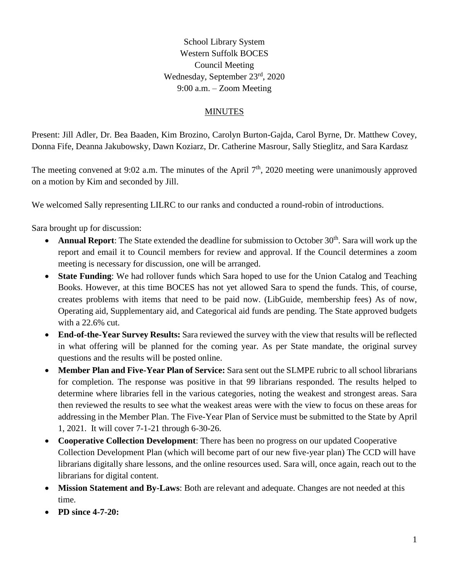School Library System Western Suffolk BOCES Council Meeting Wednesday, September 23rd, 2020 9:00 a.m. – Zoom Meeting

## MINUTES

Present: Jill Adler, Dr. Bea Baaden, Kim Brozino, Carolyn Burton-Gajda, Carol Byrne, Dr. Matthew Covey, Donna Fife, Deanna Jakubowsky, Dawn Koziarz, Dr. Catherine Masrour, Sally Stieglitz, and Sara Kardasz

The meeting convened at 9:02 a.m. The minutes of the April  $7<sup>th</sup>$ , 2020 meeting were unanimously approved on a motion by Kim and seconded by Jill.

We welcomed Sally representing LILRC to our ranks and conducted a round-robin of introductions.

Sara brought up for discussion:

- **Annual Report**: The State extended the deadline for submission to October 30<sup>th</sup>. Sara will work up the report and email it to Council members for review and approval. If the Council determines a zoom meeting is necessary for discussion, one will be arranged.
- **State Funding:** We had rollover funds which Sara hoped to use for the Union Catalog and Teaching Books. However, at this time BOCES has not yet allowed Sara to spend the funds. This, of course, creates problems with items that need to be paid now. (LibGuide, membership fees) As of now, Operating aid, Supplementary aid, and Categorical aid funds are pending. The State approved budgets with a 22.6% cut.
- **End-of-the-Year Survey Results:** Sara reviewed the survey with the view that results will be reflected in what offering will be planned for the coming year. As per State mandate, the original survey questions and the results will be posted online.
- **Member Plan and Five-Year Plan of Service:** Sara sent out the SLMPE rubric to all school librarians for completion. The response was positive in that 99 librarians responded. The results helped to determine where libraries fell in the various categories, noting the weakest and strongest areas. Sara then reviewed the results to see what the weakest areas were with the view to focus on these areas for addressing in the Member Plan. The Five-Year Plan of Service must be submitted to the State by April 1, 2021. It will cover 7-1-21 through 6-30-26.
- **Cooperative Collection Development**: There has been no progress on our updated Cooperative Collection Development Plan (which will become part of our new five-year plan) The CCD will have librarians digitally share lessons, and the online resources used. Sara will, once again, reach out to the librarians for digital content.
- **Mission Statement and By-Laws**: Both are relevant and adequate. Changes are not needed at this time.
- **PD since 4-7-20:**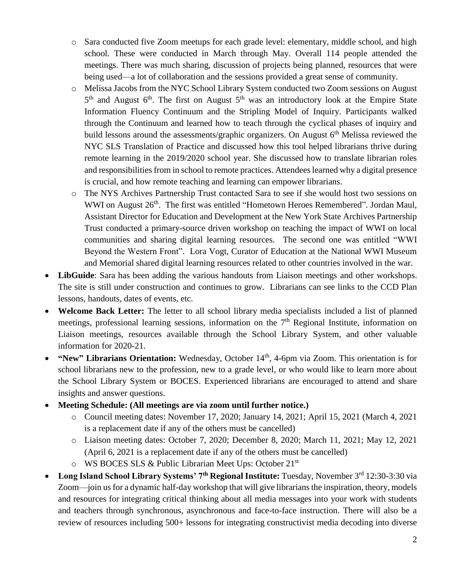- o Sara conducted five Zoom meetups for each grade level: elementary, middle school, and high school. These were conducted in March through May. Overall 114 people attended the meetings. There was much sharing, discussion of projects being planned, resources that were being used—a lot of collaboration and the sessions provided a great sense of community.
- o Melissa Jacobs from the NYC School Library System conducted two Zoom sessions on August  $5<sup>th</sup>$  and August  $6<sup>th</sup>$ . The first on August  $5<sup>th</sup>$  was an introductory look at the Empire State Information Fluency Continuum and the Stripling Model of Inquiry. Participants walked through the Continuum and learned how to teach through the cyclical phases of inquiry and build lessons around the assessments/graphic organizers. On August  $6<sup>th</sup>$  Melissa reviewed the NYC SLS Translation of Practice and discussed how this tool helped librarians thrive during remote learning in the 2019/2020 school year. She discussed how to translate librarian roles and responsibilities from in school to remote practices. Attendeeslearned why a digital presence is crucial, and how remote teaching and learning can empower librarians.
- The NYS Archives Partnership Trust contacted Sara to see if she would host two sessions on WWI on August 26<sup>th</sup>. The first was entitled "Hometown Heroes Remembered". Jordan Maul, Assistant Director for Education and Development at the New York State Archives Partnership Trust conducted a primary-source driven workshop on teaching the impact of WWI on local communities and sharing digital learning resources. The second one was entitled "WWI Beyond the Western Front". Lora Vogt, Curator of Education at the National WWI Museum and Memorial shared digital learning resources related to other countries involved in the war.
- **LibGuide**: Sara has been adding the various handouts from Liaison meetings and other workshops. The site is still under construction and continues to grow. Librarians can see links to the CCD Plan lessons, handouts, dates of events, etc.
- **Welcome Back Letter:** The letter to all school library media specialists included a list of planned meetings, professional learning sessions, information on the 7<sup>th</sup> Regional Institute, information on Liaison meetings, resources available through the School Library System, and other valuable information for 2020-21.
- "New" Librarians Orientation: Wednesday, October 14<sup>th</sup>, 4-6pm via Zoom. This orientation is for school librarians new to the profession, new to a grade level, or who would like to learn more about the School Library System or BOCES. Experienced librarians are encouraged to attend and share insights and answer questions.
- **Meeting Schedule: (All meetings are via zoom until further notice.)**
	- o Council meeting dates: November 17, 2020; January 14, 2021; April 15, 2021 (March 4, 2021 is a replacement date if any of the others must be cancelled)
	- o Liaison meeting dates: October 7, 2020; December 8, 2020; March 11, 2021; May 12, 2021 (April 6, 2021 is a replacement date if any of the others must be cancelled)
	- o WS BOCES SLS & Public Librarian Meet Ups: October 21st
- **Long Island School Library Systems' 7th Regional Institute:** Tuesday, November 3rd 12:30-3:30 via Zoom—join us for a dynamic half-day workshop that will give librarians the inspiration, theory, models and resources for integrating critical thinking about all media messages into your work with students and teachers through synchronous, asynchronous and face-to-face instruction. There will also be a review of resources including 500+ lessons for integrating constructivist media decoding into diverse